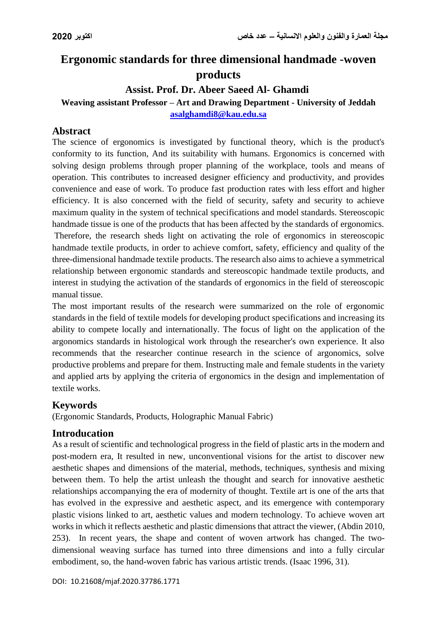# **Ergonomic standards for three dimensional handmade -woven products**

## **Assist. Prof. Dr. Abeer Saeed Al- Ghamdi**

**Weaving assistant Professor – Art and Drawing Department - University of Jeddah [asalghamdi8@kau.edu.sa](mailto:asalghamdi8@kau.edu.sa)**

## **Abstract**

The science of ergonomics is investigated by functional theory, which is the product's conformity to its function, And its suitability with humans. Ergonomics is concerned with solving design problems through proper planning of the workplace, tools and means of operation. This contributes to increased designer efficiency and productivity, and provides convenience and ease of work. To produce fast production rates with less effort and higher efficiency. It is also concerned with the field of security, safety and security to achieve maximum quality in the system of technical specifications and model standards. Stereoscopic handmade tissue is one of the products that has been affected by the standards of ergonomics. Therefore, the research sheds light on activating the role of ergonomics in stereoscopic handmade textile products, in order to achieve comfort, safety, efficiency and quality of the three-dimensional handmade textile products. The research also aims to achieve a symmetrical relationship between ergonomic standards and stereoscopic handmade textile products, and interest in studying the activation of the standards of ergonomics in the field of stereoscopic

The most important results of the research were summarized on the role of ergonomic standards in the field of textile models for developing product specifications and increasing its ability to compete locally and internationally. The focus of light on the application of the argonomics standards in histological work through the researcher's own experience. It also recommends that the researcher continue research in the science of argonomics, solve productive problems and prepare for them. Instructing male and female students in the variety and applied arts by applying the criteria of ergonomics in the design and implementation of textile works.

## **Keywords**

manual tissue.

(Ergonomic Standards, Products, Holographic Manual Fabric)

## **Introducation**

As a result of scientific and technological progress in the field of plastic arts in the modern and post-modern era, It resulted in new, unconventional visions for the artist to discover new aesthetic shapes and dimensions of the material, methods, techniques, synthesis and mixing between them. To help the artist unleash the thought and search for innovative aesthetic relationships accompanying the era of modernity of thought. Textile art is one of the arts that has evolved in the expressive and aesthetic aspect, and its emergence with contemporary plastic visions linked to art, aesthetic values and modern technology. To achieve woven art works in which it reflects aesthetic and plastic dimensions that attract the viewer, (Abdin 2010, 253). In recent years, the shape and content of woven artwork has changed. The twodimensional weaving surface has turned into three dimensions and into a fully circular embodiment, so, the hand-woven fabric has various artistic trends. (Isaac 1996, 31).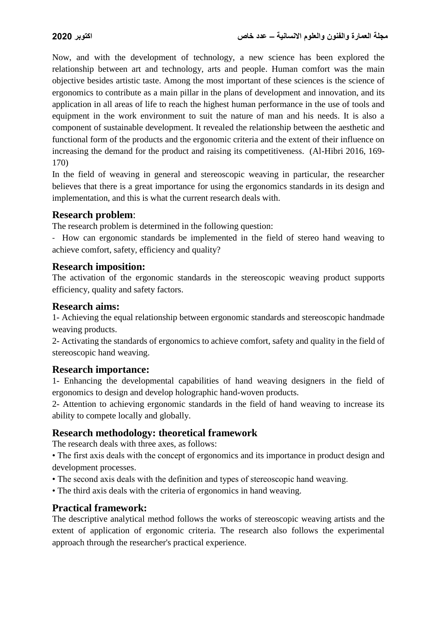Now, and with the development of technology, a new science has been explored the relationship between art and technology, arts and people. Human comfort was the main objective besides artistic taste. Among the most important of these sciences is the science of ergonomics to contribute as a main pillar in the plans of development and innovation, and its application in all areas of life to reach the highest human performance in the use of tools and equipment in the work environment to suit the nature of man and his needs. It is also a component of sustainable development. It revealed the relationship between the aesthetic and functional form of the products and the ergonomic criteria and the extent of their influence on increasing the demand for the product and raising its competitiveness. (Al-Hibri 2016, 169- 170)

In the field of weaving in general and stereoscopic weaving in particular, the researcher believes that there is a great importance for using the ergonomics standards in its design and implementation, and this is what the current research deals with.

#### **Research problem**:

The research problem is determined in the following question:

- How can ergonomic standards be implemented in the field of stereo hand weaving to achieve comfort, safety, efficiency and quality?

#### **Research imposition:**

The activation of the ergonomic standards in the stereoscopic weaving product supports efficiency, quality and safety factors.

### **Research aims:**

1- Achieving the equal relationship between ergonomic standards and stereoscopic handmade weaving products.

2- Activating the standards of ergonomics to achieve comfort, safety and quality in the field of stereoscopic hand weaving.

#### **Research importance:**

1- Enhancing the developmental capabilities of hand weaving designers in the field of ergonomics to design and develop holographic hand-woven products.

2- Attention to achieving ergonomic standards in the field of hand weaving to increase its ability to compete locally and globally.

#### **Research methodology: theoretical framework**

The research deals with three axes, as follows:

- The first axis deals with the concept of ergonomics and its importance in product design and development processes.
- The second axis deals with the definition and types of stereoscopic hand weaving.
- The third axis deals with the criteria of ergonomics in hand weaving.

#### **Practical framework:**

The descriptive analytical method follows the works of stereoscopic weaving artists and the extent of application of ergonomic criteria. The research also follows the experimental approach through the researcher's practical experience.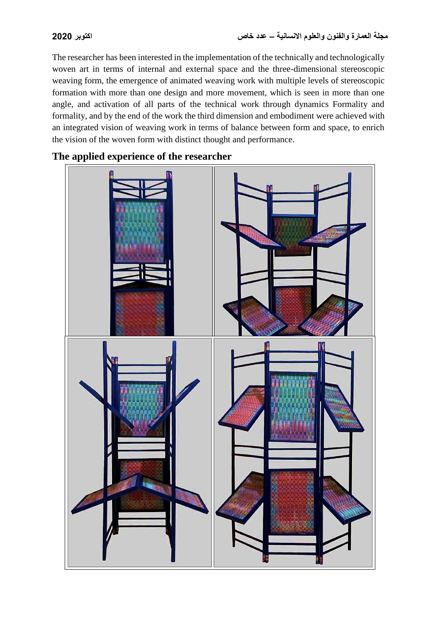The researcher has been interested in the implementation of the technically and technologically woven art in terms of internal and external space and the three-dimensional stereoscopic weaving form, the emergence of animated weaving work with multiple levels of stereoscopic formation with more than one design and more movement, which is seen in more than one angle, and activation of all parts of the technical work through dynamics Formality and formality, and by the end of the work the third dimension and embodiment were achieved with an integrated vision of weaving work in terms of balance between form and space, to enrich the vision of the woven form with distinct thought and performance.

**The applied experience of the researcher**